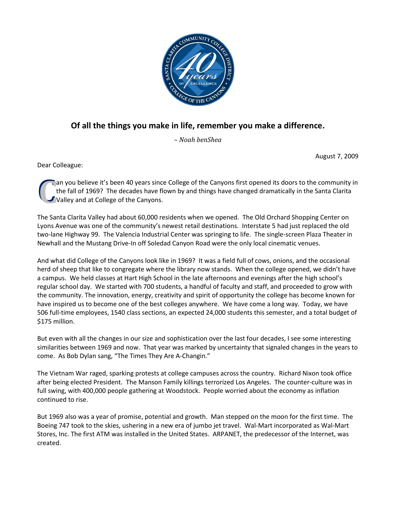

# **Of all the things you make in life, remember you make a difference.**

*– Noah benShea* 

August 7, 2009

Dear Colleague:

an you believe it's been 40 years since College of the Canyons first opened its doors to the community in the fall of 1969? The decades have flown by and things have changed dramatically in the Santa Clarita Valley and at College of the Canyons. **C**

The Santa Clarita Valley had about 60,000 residents when we opened. The Old Orchard Shopping Center on Lyons Avenue was one of the community's newest retail destinations. Interstate 5 had just replaced the old two-lane Highway 99. The Valencia Industrial Center was springing to life. The single-screen Plaza Theater in Newhall and the Mustang Drive-In off Soledad Canyon Road were the only local cinematic venues.

And what did College of the Canyons look like in 1969? It was a field full of cows, onions, and the occasional herd of sheep that like to congregate where the library now stands. When the college opened, we didn't have a campus. We held classes at Hart High School in the late afternoons and evenings after the high school's regular school day. We started with 700 students, a handful of faculty and staff, and proceeded to grow with the community. The innovation, energy, creativity and spirit of opportunity the college has become known for have inspired us to become one of the best colleges anywhere. We have come a long way. Today, we have 506 full-time employees, 1540 class sections, an expected 24,000 students this semester, and a total budget of \$175 million.

But even with all the changes in our size and sophistication over the last four decades, I see some interesting similarities between 1969 and now. That year was marked by uncertainty that signaled changes in the years to come. As Bob Dylan sang, "The Times They Are A-Changin."

The Vietnam War raged, sparking protests at college campuses across the country. Richard Nixon took office after being elected President. The Manson Family killings terrorized Los Angeles. The counter-culture was in full swing, with 400,000 people gathering at Woodstock. People worried about the economy as inflation continued to rise.

But 1969 also was a year of promise, potential and growth. Man stepped on the moon for the first time. The Boeing 747 took to the skies, ushering in a new era of jumbo jet travel. Wal-Mart incorporated as Wal-Mart Stores, Inc. The first ATM was installed in the United States. ARPANET, the predecessor of the Internet, was created.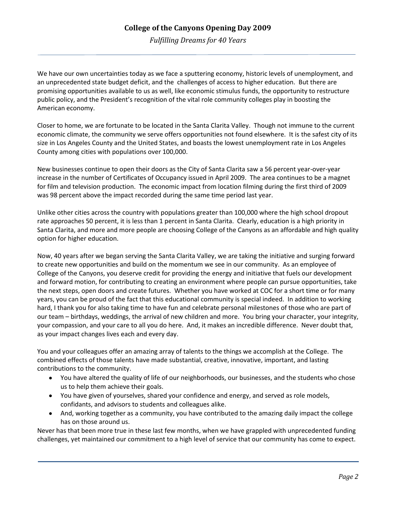*Fulfilling Dreams for 40 Years* 

We have our own uncertainties today as we face a sputtering economy, historic levels of unemployment, and an unprecedented state budget deficit, and the challenges of access to higher education. But there are promising opportunities available to us as well, like economic stimulus funds, the opportunity to restructure public policy, and the President's recognition of the vital role community colleges play in boosting the American economy.

Closer to home, we are fortunate to be located in the Santa Clarita Valley. Though not immune to the current economic climate, the community we serve offers opportunities not found elsewhere. It is the safest city of its size in Los Angeles County and the United States, and boasts the lowest unemployment rate in Los Angeles County among cities with populations over 100,000.

New businesses continue to open their doors as the City of Santa Clarita saw a 56 percent year-over-year increase in the number of Certificates of Occupancy issued in April 2009. The area continues to be a magnet for film and television production. The economic impact from location filming during the first third of 2009 was 98 percent above the impact recorded during the same time period last year.

Unlike other cities across the country with populations greater than 100,000 where the high school dropout rate approaches 50 percent, it is less than 1 percent in Santa Clarita. Clearly, education is a high priority in Santa Clarita, and more and more people are choosing College of the Canyons as an affordable and high quality option for higher education.

Now, 40 years after we began serving the Santa Clarita Valley, we are taking the initiative and surging forward to create new opportunities and build on the momentum we see in our community. As an employee of College of the Canyons, you deserve credit for providing the energy and initiative that fuels our development and forward motion, for contributing to creating an environment where people can pursue opportunities, take the next steps, open doors and create futures. Whether you have worked at COC for a short time or for many years, you can be proud of the fact that this educational community is special indeed. In addition to working hard, I thank you for also taking time to have fun and celebrate personal milestones of those who are part of our team – birthdays, weddings, the arrival of new children and more. You bring your character, your integrity, your compassion, and your care to all you do here. And, it makes an incredible difference. Never doubt that, as your impact changes lives each and every day.

You and your colleagues offer an amazing array of talents to the things we accomplish at the College. The combined effects of those talents have made substantial, creative, innovative, important, and lasting contributions to the community.

- You have altered the quality of life of our neighborhoods, our businesses, and the students who chose us to help them achieve their goals.
- You have given of yourselves, shared your confidence and energy, and served as role models, confidants, and advisors to students and colleagues alike.
- And, working together as a community, you have contributed to the amazing daily impact the college has on those around us.

Never has that been more true in these last few months, when we have grappled with unprecedented funding challenges, yet maintained our commitment to a high level of service that our community has come to expect.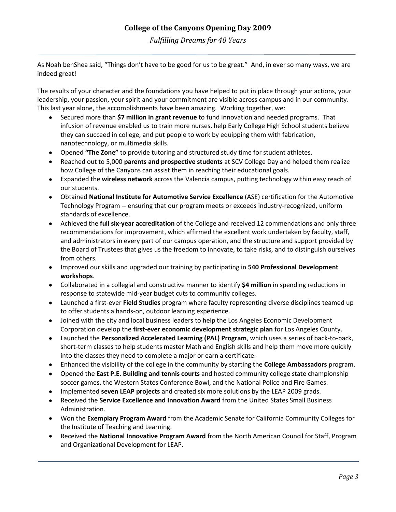*Fulfilling Dreams for 40 Years* 

As Noah benShea said, "Things don't have to be good for us to be great." And, in ever so many ways, we are indeed great!

The results of your character and the foundations you have helped to put in place through your actions, your leadership, your passion, your spirit and your commitment are visible across campus and in our community. This last year alone, the accomplishments have been amazing. Working together, we:

- Secured more than **\$7 million in grant revenue** to fund innovation and needed programs. That infusion of revenue enabled us to train more nurses, help Early College High School students believe they can succeed in college, and put people to work by equipping them with fabrication, nanotechnology, or multimedia skills.
- Opened **"The Zone"** to provide tutoring and structured study time for student athletes.
- Reached out to 5,000 **parents and prospective students** at SCV College Day and helped them realize how College of the Canyons can assist them in reaching their educational goals.
- Expanded the **wireless network** across the Valencia campus, putting technology within easy reach of our students.
- Obtained **National Institute for Automotive Service Excellence** (ASE) certification for the Automotive Technology Program -- ensuring that our program meets or exceeds industry-recognized, uniform standards of excellence.
- Achieved the **full six-year accreditation** of the College and received 12 commendations and only three recommendations for improvement, which affirmed the excellent work undertaken by faculty, staff, and administrators in every part of our campus operation, and the structure and support provided by the Board of Trustees that gives us the freedom to innovate, to take risks, and to distinguish ourselves from others.
- Improved our skills and upgraded our training by participating in **540 Professional Development workshops**.
- Collaborated in a collegial and constructive manner to identify **\$4 million** in spending reductions in response to statewide mid-year budget cuts to community colleges.
- Launched a first-ever **Field Studies** program where faculty representing diverse disciplines teamed up to offer students a hands-on, outdoor learning experience.
- Joined with the city and local business leaders to help the Los Angeles Economic Development Corporation develop the **first-ever economic development strategic plan** for Los Angeles County.
- Launched the **Personalized Accelerated Learning (PAL) Program**, which uses a series of back-to-back, short-term classes to help students master Math and English skills and help them move more quickly into the classes they need to complete a major or earn a certificate.
- Enhanced the visibility of the college in the community by starting the **College Ambassadors** program.
- Opened the **East P.E. Building and tennis courts** and hosted community college state championship soccer games, the Western States Conference Bowl, and the National Police and Fire Games.
- Implemented **seven LEAP projects** and created six more solutions by the LEAP 2009 grads.
- Received the **Service Excellence and Innovation Award** from the United States Small Business  $\bullet$ Administration.
- Won the **Exemplary Program Award** from the Academic Senate for California Community Colleges for the Institute of Teaching and Learning.
- Received the **National Innovative Program Award** from the North American Council for Staff, Program and Organizational Development for LEAP.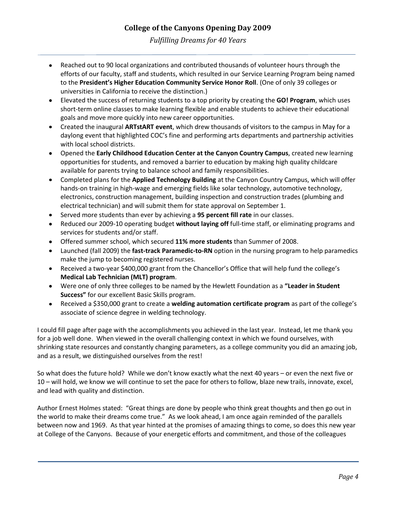*Fulfilling Dreams for 40 Years* 

- Reached out to 90 local organizations and contributed thousands of volunteer hours through the efforts of our faculty, staff and students, which resulted in our Service Learning Program being named to the **President's Higher Education Community Service Honor Roll**. (One of only 39 colleges or universities in California to receive the distinction.)
- Elevated the success of returning students to a top priority by creating the **GO! Program**, which uses short-term online classes to make learning flexible and enable students to achieve their educational goals and move more quickly into new career opportunities.
- Created the inaugural **ARTstART event**, which drew thousands of visitors to the campus in May for a daylong event that highlighted COC's fine and performing arts departments and partnership activities with local school districts.
- Opened the **Early Childhood Education Center at the Canyon Country Campus**, created new learning opportunities for students, and removed a barrier to education by making high quality childcare available for parents trying to balance school and family responsibilities.
- Completed plans for the **Applied Technology Building** at the Canyon Country Campus, which will offer hands-on training in high-wage and emerging fields like solar technology, automotive technology, electronics, construction management, building inspection and construction trades (plumbing and electrical technician) and will submit them for state approval on September 1.
- Served more students than ever by achieving a **95 percent fill rate** in our classes.
- Reduced our 2009-10 operating budget **without laying off** full-time staff, or eliminating programs and services for students and/or staff.
- Offered summer school, which secured **11% more students** than Summer of 2008.
- Launched (fall 2009) the **fast-track Paramedic-to-RN** option in the nursing program to help paramedics make the jump to becoming registered nurses.
- Received a two-year \$400,000 grant from the Chancellor's Office that will help fund the college's **Medical Lab Technician (MLT) program**.
- Were one of only three colleges to be named by the Hewlett Foundation as a **"Leader in Student Success"** for our excellent Basic Skills program.
- Received a \$350,000 grant to create a **welding automation certificate program** as part of the college's associate of science degree in welding technology.

I could fill page after page with the accomplishments you achieved in the last year. Instead, let me thank you for a job well done. When viewed in the overall challenging context in which we found ourselves, with shrinking state resources and constantly changing parameters, as a college community you did an amazing job, and as a result, we distinguished ourselves from the rest!

So what does the future hold? While we don't know exactly what the next 40 years – or even the next five or 10 – will hold, we know we will continue to set the pace for others to follow, blaze new trails, innovate, excel, and lead with quality and distinction.

Author Ernest Holmes stated: "Great things are done by people who think great thoughts and then go out in the world to make their dreams come true." As we look ahead, I am once again reminded of the parallels between now and 1969. As that year hinted at the promises of amazing things to come, so does this new year at College of the Canyons. Because of your energetic efforts and commitment, and those of the colleagues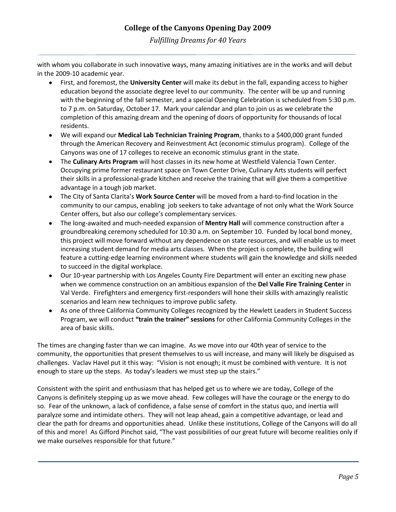*Fulfilling Dreams for 40 Years* 

with whom you collaborate in such innovative ways, many amazing initiatives are in the works and will debut in the 2009-10 academic year.

- First, and foremost, the **University Center** will make its debut in the fall, expanding access to higher education beyond the associate degree level to our community. The center will be up and running with the beginning of the fall semester, and a special Opening Celebration is scheduled from 5:30 p.m. to 7 p.m. on Saturday, October 17. Mark your calendar and plan to join us as we celebrate the completion of this amazing dream and the opening of doors of opportunity for thousands of local residents.
- We will expand our **Medical Lab Technician Training Program**, thanks to a \$400,000 grant funded through the American Recovery and Reinvestment Act (economic stimulus program). College of the Canyons was one of 17 colleges to receive an economic stimulus grant in the state.
- The **Culinary Arts Program** will host classes in its new home at Westfield Valencia Town Center. Occupying prime former restaurant space on Town Center Drive, Culinary Arts students will perfect their skills in a professional-grade kitchen and receive the training that will give them a competitive advantage in a tough job market.
- The City of Santa Clarita's **Work Source Center** will be moved from a hard-to-find location in the community to our campus, enabling job seekers to take advantage of not only what the Work Source Center offers, but also our college's complementary services.
- The long-awaited and much-needed expansion of **Mentry Hall** will commence construction after a groundbreaking ceremony scheduled for 10:30 a.m. on September 10. Funded by local bond money, this project will move forward without any dependence on state resources, and will enable us to meet increasing student demand for media arts classes. When the project is complete, the building will feature a cutting-edge learning environment where students will gain the knowledge and skills needed to succeed in the digital workplace.
- Our 10-year partnership with Los Angeles County Fire Department will enter an exciting new phase when we commence construction on an ambitious expansion of the **Del Valle Fire Training Center** in Val Verde. Firefighters and emergency first-responders will hone their skills with amazingly realistic scenarios and learn new techniques to improve public safety.
- As one of three California Community Colleges recognized by the Hewlett Leaders in Student Success Program, we will conduct **"train the trainer" sessions** for other California Community Colleges in the area of basic skills.

The times are changing faster than we can imagine. As we move into our 40th year of service to the community, the opportunities that present themselves to us will increase, and many will likely be disguised as challenges. Vaclav Havel put it this way: "Vision is not enough; it must be combined with venture. It is not enough to stare up the steps. As today's leaders we must step up the stairs."

Consistent with the spirit and enthusiasm that has helped get us to where we are today, College of the Canyons is definitely stepping up as we move ahead. Few colleges will have the courage or the energy to do so. Fear of the unknown, a lack of confidence, a false sense of comfort in the status quo, and inertia will paralyze some and intimidate others. They will not leap ahead, gain a competitive advantage, or lead and clear the path for dreams and opportunities ahead. Unlike these institutions, College of the Canyons will do all of this and more! As Gifford Pinchot said, "The vast possibilities of our great future will become realities only if we make ourselves responsible for that future."